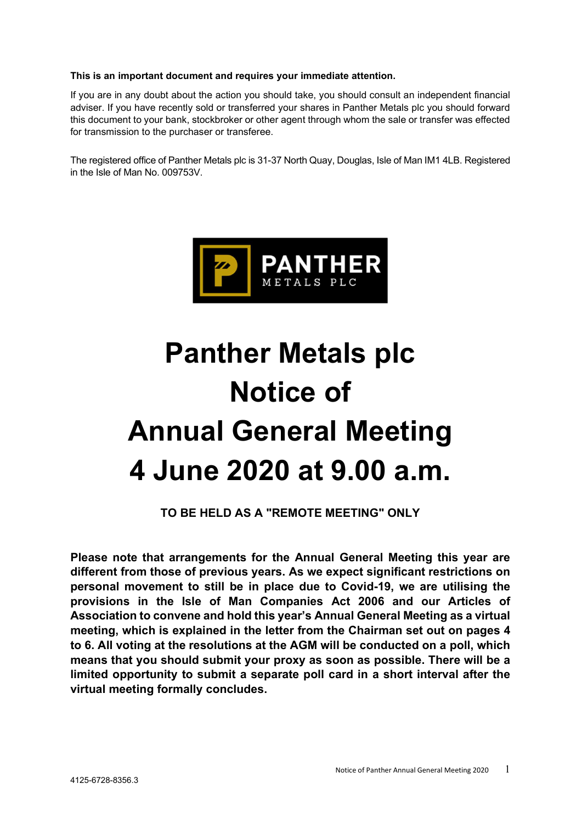# This is an important document and requires your immediate attention.

If you are in any doubt about the action you should take, you should consult an independent financial adviser. If you have recently sold or transferred your shares in Panther Metals plc you should forward this document to your bank, stockbroker or other agent through whom the sale or transfer was effected for transmission to the purchaser or transferee.

The registered office of Panther Metals plc is 31-37 North Quay, Douglas, Isle of Man IM1 4LB. Registered in the Isle of Man No. 009753V.



# Panther Metals plc Notice of Annual General Meeting 4 June 2020 at 9.00 a.m.

TO BE HELD AS A "REMOTE MEETING" ONLY

Please note that arrangements for the Annual General Meeting this year are different from those of previous years. As we expect significant restrictions on personal movement to still be in place due to Covid-19, we are utilising the provisions in the Isle of Man Companies Act 2006 and our Articles of Association to convene and hold this year's Annual General Meeting as a virtual meeting, which is explained in the letter from the Chairman set out on pages 4 to 6. All voting at the resolutions at the AGM will be conducted on a poll, which means that you should submit your proxy as soon as possible. There will be a limited opportunity to submit a separate poll card in a short interval after the virtual meeting formally concludes.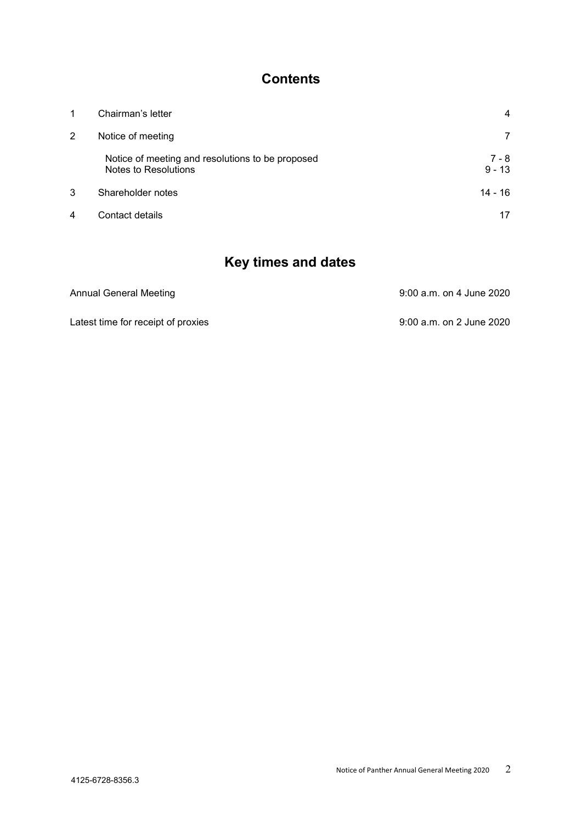# **Contents**

| 1 | Chairman's letter                                                        | 4                 |
|---|--------------------------------------------------------------------------|-------------------|
| 2 | Notice of meeting                                                        | 7                 |
|   | Notice of meeting and resolutions to be proposed<br>Notes to Resolutions | 7 - 8<br>$9 - 13$ |
| 3 | Shareholder notes                                                        | $14 - 16$         |
| 4 | Contact details                                                          |                   |

# Key times and dates

| Annual General Meeting             | 9:00 a.m. on 4 June 2020 |
|------------------------------------|--------------------------|
| Latest time for receipt of proxies | 9:00 a.m. on 2 June 2020 |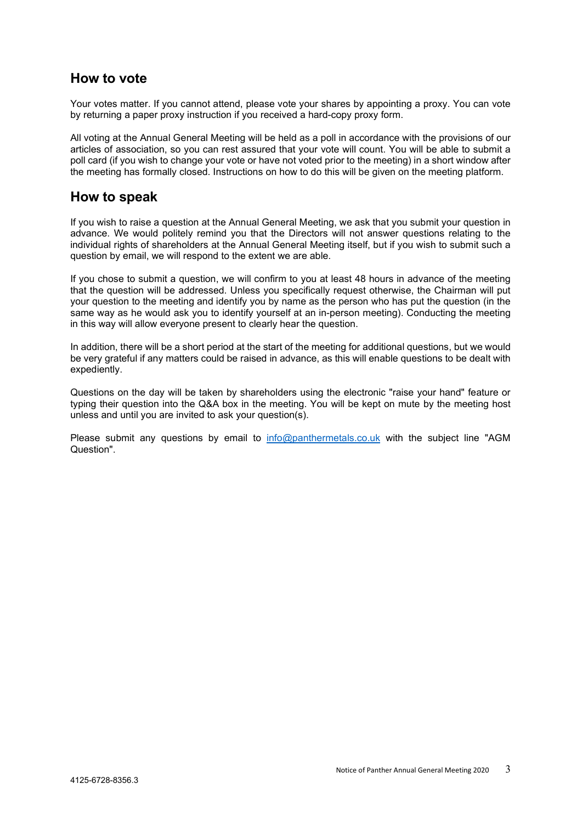# How to vote

Your votes matter. If you cannot attend, please vote your shares by appointing a proxy. You can vote by returning a paper proxy instruction if you received a hard-copy proxy form.

All voting at the Annual General Meeting will be held as a poll in accordance with the provisions of our articles of association, so you can rest assured that your vote will count. You will be able to submit a poll card (if you wish to change your vote or have not voted prior to the meeting) in a short window after the meeting has formally closed. Instructions on how to do this will be given on the meeting platform.

# How to speak

If you wish to raise a question at the Annual General Meeting, we ask that you submit your question in advance. We would politely remind you that the Directors will not answer questions relating to the individual rights of shareholders at the Annual General Meeting itself, but if you wish to submit such a question by email, we will respond to the extent we are able.

If you chose to submit a question, we will confirm to you at least 48 hours in advance of the meeting that the question will be addressed. Unless you specifically request otherwise, the Chairman will put your question to the meeting and identify you by name as the person who has put the question (in the same way as he would ask you to identify yourself at an in-person meeting). Conducting the meeting in this way will allow everyone present to clearly hear the question.

In addition, there will be a short period at the start of the meeting for additional questions, but we would be very grateful if any matters could be raised in advance, as this will enable questions to be dealt with expediently.

Questions on the day will be taken by shareholders using the electronic "raise your hand" feature or typing their question into the Q&A box in the meeting. You will be kept on mute by the meeting host unless and until you are invited to ask your question(s).

Please submit any questions by email to info@panthermetals.co.uk with the subject line "AGM Question".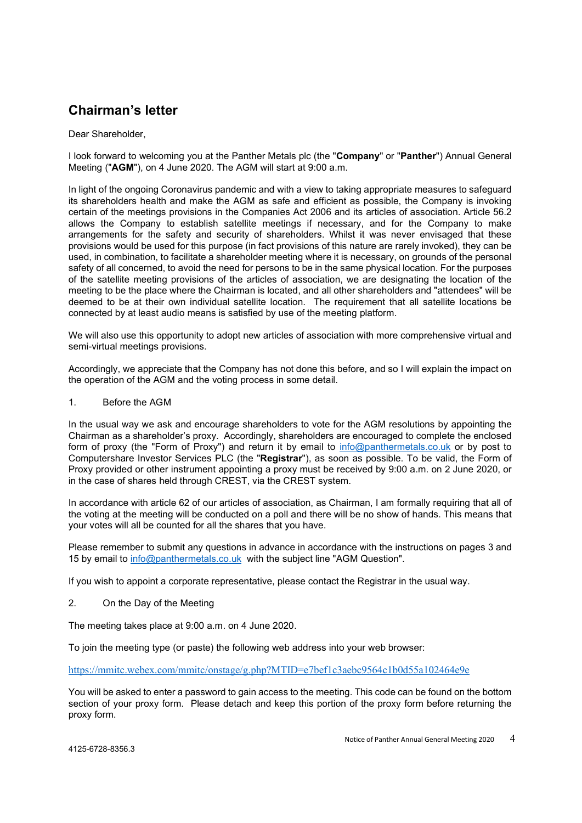# Chairman's letter

# Dear Shareholder,

I look forward to welcoming you at the Panther Metals plc (the "Company" or "Panther") Annual General Meeting ("AGM"), on 4 June 2020. The AGM will start at 9:00 a.m.

In light of the ongoing Coronavirus pandemic and with a view to taking appropriate measures to safeguard its shareholders health and make the AGM as safe and efficient as possible, the Company is invoking certain of the meetings provisions in the Companies Act 2006 and its articles of association. Article 56.2 allows the Company to establish satellite meetings if necessary, and for the Company to make arrangements for the safety and security of shareholders. Whilst it was never envisaged that these provisions would be used for this purpose (in fact provisions of this nature are rarely invoked), they can be used, in combination, to facilitate a shareholder meeting where it is necessary, on grounds of the personal safety of all concerned, to avoid the need for persons to be in the same physical location. For the purposes of the satellite meeting provisions of the articles of association, we are designating the location of the meeting to be the place where the Chairman is located, and all other shareholders and "attendees" will be deemed to be at their own individual satellite location. The requirement that all satellite locations be connected by at least audio means is satisfied by use of the meeting platform.

We will also use this opportunity to adopt new articles of association with more comprehensive virtual and semi-virtual meetings provisions.

Accordingly, we appreciate that the Company has not done this before, and so I will explain the impact on the operation of the AGM and the voting process in some detail.

1. Before the AGM

In the usual way we ask and encourage shareholders to vote for the AGM resolutions by appointing the Chairman as a shareholder's proxy. Accordingly, shareholders are encouraged to complete the enclosed form of proxy (the "Form of Proxy") and return it by email to info@panthermetals.co.uk or by post to Computershare Investor Services PLC (the "Registrar"), as soon as possible. To be valid, the Form of Proxy provided or other instrument appointing a proxy must be received by 9:00 a.m. on 2 June 2020, or in the case of shares held through CREST, via the CREST system.

In accordance with article 62 of our articles of association, as Chairman, I am formally requiring that all of the voting at the meeting will be conducted on a poll and there will be no show of hands. This means that your votes will all be counted for all the shares that you have.

Please remember to submit any questions in advance in accordance with the instructions on pages 3 and 15 by email to info@panthermetals.co.uk with the subject line "AGM Question".

If you wish to appoint a corporate representative, please contact the Registrar in the usual way.

2. On the Day of the Meeting

The meeting takes place at 9:00 a.m. on 4 June 2020.

To join the meeting type (or paste) the following web address into your web browser:

https://mmitc.webex.com/mmitc/onstage/g.php?MTID=e7bef1c3aebc9564c1b0d55a102464e9e

You will be asked to enter a password to gain access to the meeting. This code can be found on the bottom section of your proxy form. Please detach and keep this portion of the proxy form before returning the proxy form.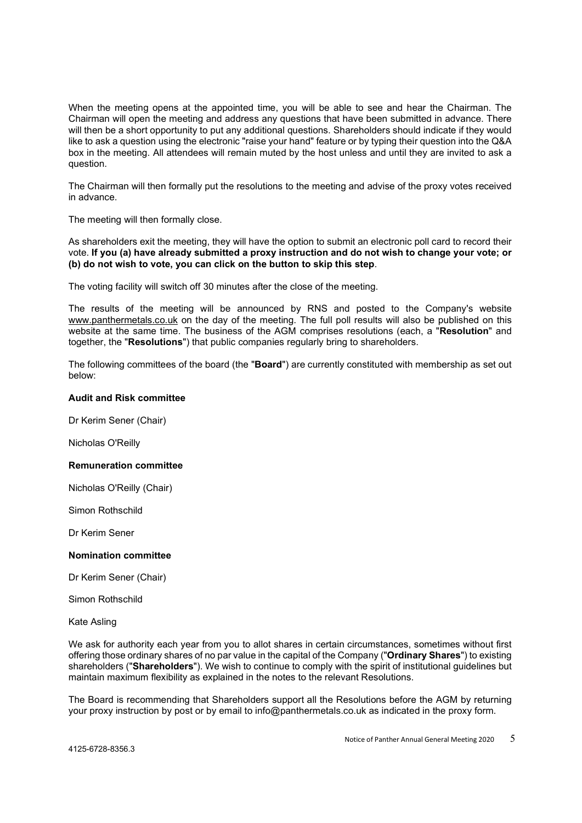When the meeting opens at the appointed time, you will be able to see and hear the Chairman. The Chairman will open the meeting and address any questions that have been submitted in advance. There will then be a short opportunity to put any additional questions. Shareholders should indicate if they would like to ask a question using the electronic "raise your hand" feature or by typing their question into the Q&A box in the meeting. All attendees will remain muted by the host unless and until they are invited to ask a question.

The Chairman will then formally put the resolutions to the meeting and advise of the proxy votes received in advance.

The meeting will then formally close.

As shareholders exit the meeting, they will have the option to submit an electronic poll card to record their vote. If you (a) have already submitted a proxy instruction and do not wish to change your vote; or (b) do not wish to vote, you can click on the button to skip this step.

The voting facility will switch off 30 minutes after the close of the meeting.

The results of the meeting will be announced by RNS and posted to the Company's website www.panthermetals.co.uk on the day of the meeting. The full poll results will also be published on this website at the same time. The business of the AGM comprises resolutions (each, a "Resolution" and together, the "Resolutions") that public companies regularly bring to shareholders.

The following committees of the board (the "Board") are currently constituted with membership as set out below:

## Audit and Risk committee

Dr Kerim Sener (Chair)

Nicholas O'Reilly

#### Remuneration committee

Nicholas O'Reilly (Chair)

Simon Rothschild

Dr Kerim Sener

#### Nomination committee

Dr Kerim Sener (Chair)

Simon Rothschild

Kate Asling

We ask for authority each year from you to allot shares in certain circumstances, sometimes without first offering those ordinary shares of no par value in the capital of the Company ("Ordinary Shares") to existing shareholders ("Shareholders"). We wish to continue to comply with the spirit of institutional guidelines but maintain maximum flexibility as explained in the notes to the relevant Resolutions.

The Board is recommending that Shareholders support all the Resolutions before the AGM by returning your proxy instruction by post or by email to info@panthermetals.co.uk as indicated in the proxy form.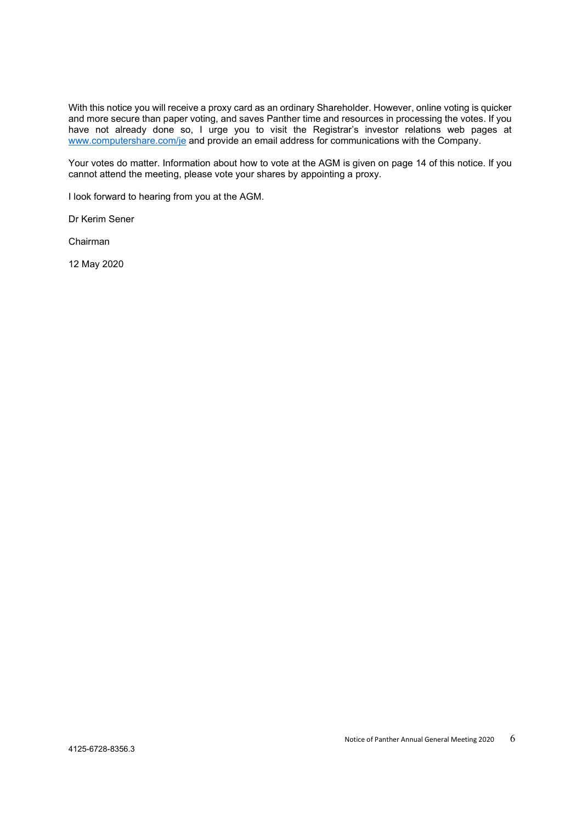With this notice you will receive a proxy card as an ordinary Shareholder. However, online voting is quicker and more secure than paper voting, and saves Panther time and resources in processing the votes. If you have not already done so, I urge you to visit the Registrar's investor relations web pages at www.computershare.com/je and provide an email address for communications with the Company.

Your votes do matter. Information about how to vote at the AGM is given on page 14 of this notice. If you cannot attend the meeting, please vote your shares by appointing a proxy.

I look forward to hearing from you at the AGM.

Dr Kerim Sener

Chairman

12 May 2020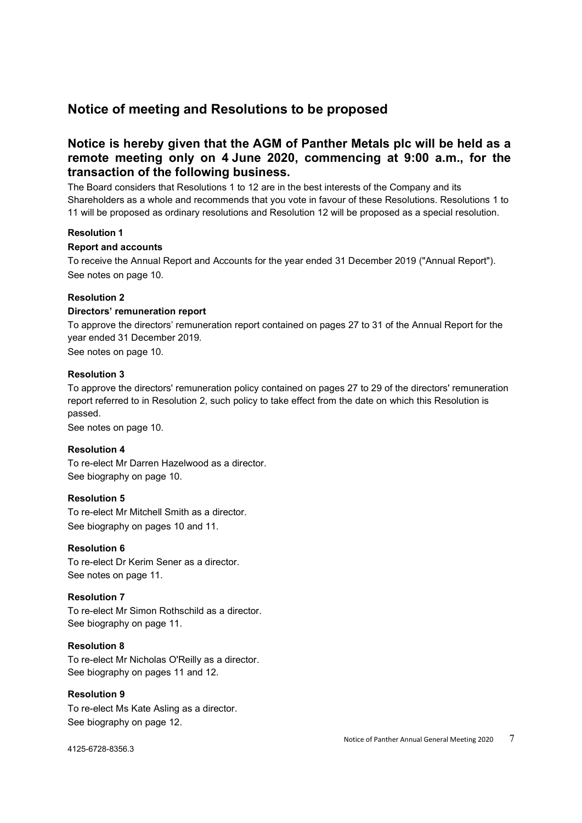# Notice of meeting and Resolutions to be proposed

# Notice is hereby given that the AGM of Panther Metals plc will be held as a remote meeting only on 4 June 2020, commencing at 9:00 a.m., for the transaction of the following business.

The Board considers that Resolutions 1 to 12 are in the best interests of the Company and its Shareholders as a whole and recommends that you vote in favour of these Resolutions. Resolutions 1 to 11 will be proposed as ordinary resolutions and Resolution 12 will be proposed as a special resolution.

# Resolution 1

# Report and accounts

To receive the Annual Report and Accounts for the year ended 31 December 2019 ("Annual Report"). See notes on page 10.

# Resolution 2

# Directors' remuneration report

To approve the directors' remuneration report contained on pages 27 to 31 of the Annual Report for the year ended 31 December 2019.

See notes on page 10.

## Resolution 3

To approve the directors' remuneration policy contained on pages 27 to 29 of the directors' remuneration report referred to in Resolution 2, such policy to take effect from the date on which this Resolution is passed.

See notes on page 10.

# Resolution 4

To re-elect Mr Darren Hazelwood as a director. See biography on page 10.

## Resolution 5

To re-elect Mr Mitchell Smith as a director. See biography on pages 10 and 11.

## Resolution 6

To re-elect Dr Kerim Sener as a director. See notes on page 11.

# Resolution 7

To re-elect Mr Simon Rothschild as a director. See biography on page 11.

## Resolution 8

To re-elect Mr Nicholas O'Reilly as a director. See biography on pages 11 and 12.

## Resolution 9

To re-elect Ms Kate Asling as a director. See biography on page 12.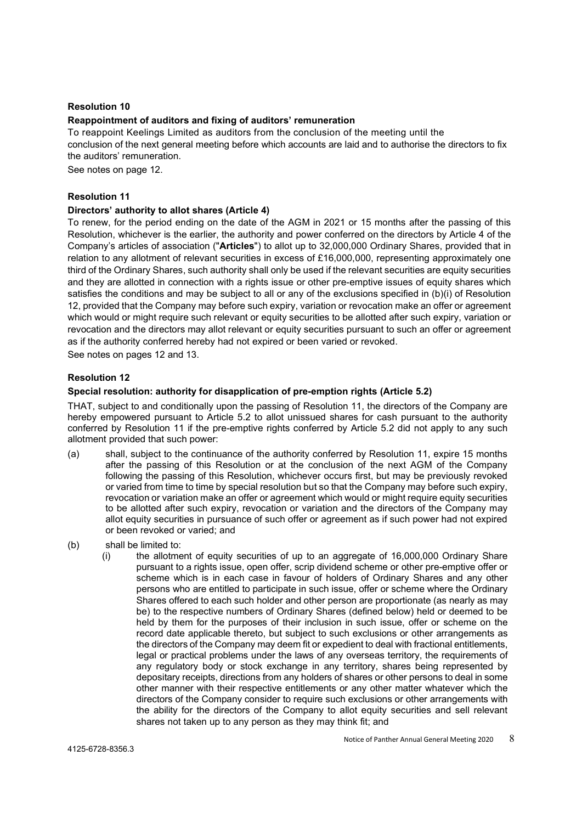#### Resolution 10

## Reappointment of auditors and fixing of auditors' remuneration

To reappoint Keelings Limited as auditors from the conclusion of the meeting until the conclusion of the next general meeting before which accounts are laid and to authorise the directors to fix the auditors' remuneration.

See notes on page 12.

#### Resolution 11

#### Directors' authority to allot shares (Article 4)

To renew, for the period ending on the date of the AGM in 2021 or 15 months after the passing of this Resolution, whichever is the earlier, the authority and power conferred on the directors by Article 4 of the Company's articles of association ("Articles") to allot up to 32,000,000 Ordinary Shares, provided that in relation to any allotment of relevant securities in excess of £16,000,000, representing approximately one third of the Ordinary Shares, such authority shall only be used if the relevant securities are equity securities and they are allotted in connection with a rights issue or other pre-emptive issues of equity shares which satisfies the conditions and may be subject to all or any of the exclusions specified in (b)(i) of Resolution 12, provided that the Company may before such expiry, variation or revocation make an offer or agreement which would or might require such relevant or equity securities to be allotted after such expiry, variation or revocation and the directors may allot relevant or equity securities pursuant to such an offer or agreement as if the authority conferred hereby had not expired or been varied or revoked.

See notes on pages 12 and 13.

## Resolution 12

# Special resolution: authority for disapplication of pre-emption rights (Article 5.2)

THAT, subject to and conditionally upon the passing of Resolution 11, the directors of the Company are hereby empowered pursuant to Article 5.2 to allot unissued shares for cash pursuant to the authority conferred by Resolution 11 if the pre-emptive rights conferred by Article 5.2 did not apply to any such allotment provided that such power:

- (a) shall, subject to the continuance of the authority conferred by Resolution 11, expire 15 months after the passing of this Resolution or at the conclusion of the next AGM of the Company following the passing of this Resolution, whichever occurs first, but may be previously revoked or varied from time to time by special resolution but so that the Company may before such expiry, revocation or variation make an offer or agreement which would or might require equity securities to be allotted after such expiry, revocation or variation and the directors of the Company may allot equity securities in pursuance of such offer or agreement as if such power had not expired or been revoked or varied; and
- (b) shall be limited to:
	- (i) the allotment of equity securities of up to an aggregate of 16,000,000 Ordinary Share pursuant to a rights issue, open offer, scrip dividend scheme or other pre-emptive offer or scheme which is in each case in favour of holders of Ordinary Shares and any other persons who are entitled to participate in such issue, offer or scheme where the Ordinary Shares offered to each such holder and other person are proportionate (as nearly as may be) to the respective numbers of Ordinary Shares (defined below) held or deemed to be held by them for the purposes of their inclusion in such issue, offer or scheme on the record date applicable thereto, but subject to such exclusions or other arrangements as the directors of the Company may deem fit or expedient to deal with fractional entitlements, legal or practical problems under the laws of any overseas territory, the requirements of any regulatory body or stock exchange in any territory, shares being represented by depositary receipts, directions from any holders of shares or other persons to deal in some other manner with their respective entitlements or any other matter whatever which the directors of the Company consider to require such exclusions or other arrangements with the ability for the directors of the Company to allot equity securities and sell relevant shares not taken up to any person as they may think fit; and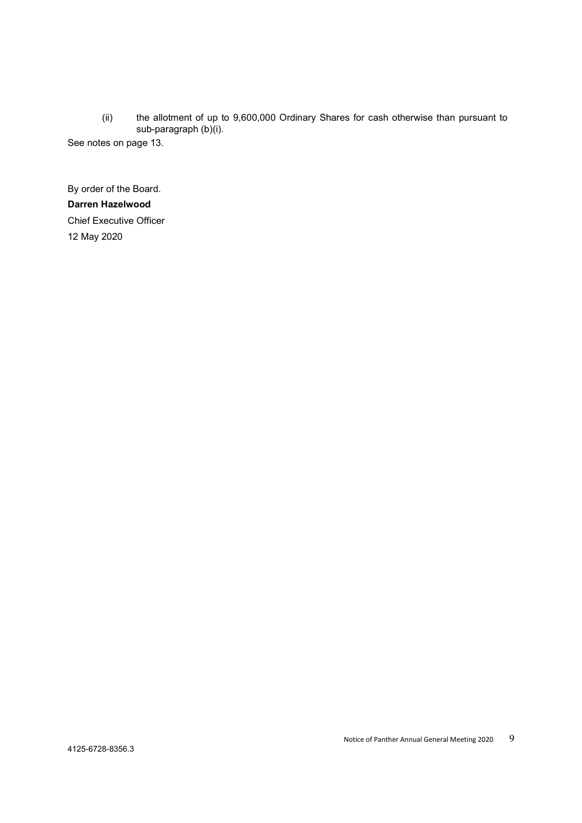(ii) the allotment of up to 9,600,000 Ordinary Shares for cash otherwise than pursuant to sub-paragraph (b)(i).

See notes on page 13.

By order of the Board. Darren Hazelwood Chief Executive Officer 12 May 2020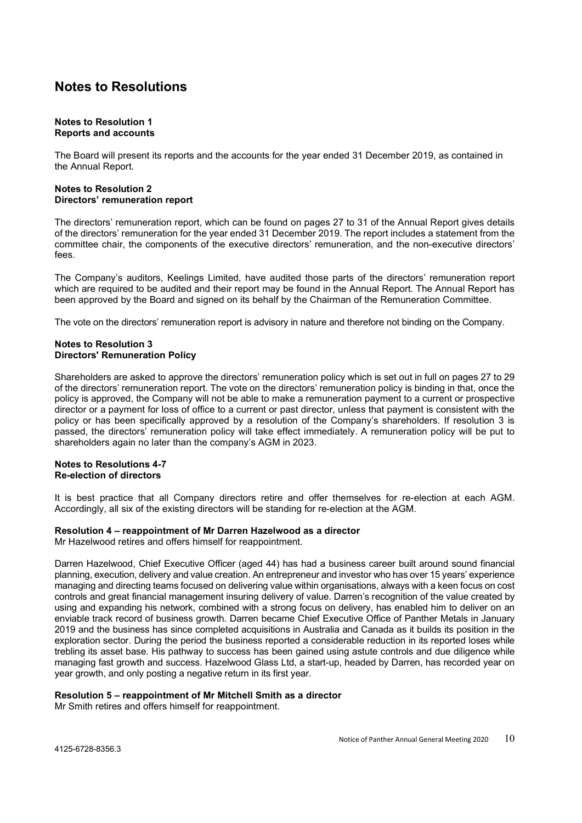# Notes to Resolutions

#### Notes to Resolution 1 Reports and accounts

The Board will present its reports and the accounts for the year ended 31 December 2019, as contained in the Annual Report.

## Notes to Resolution 2 Directors' remuneration report

The directors' remuneration report, which can be found on pages 27 to 31 of the Annual Report gives details of the directors' remuneration for the year ended 31 December 2019. The report includes a statement from the committee chair, the components of the executive directors' remuneration, and the non-executive directors' fees.

The Company's auditors, Keelings Limited, have audited those parts of the directors' remuneration report which are required to be audited and their report may be found in the Annual Report. The Annual Report has been approved by the Board and signed on its behalf by the Chairman of the Remuneration Committee.

The vote on the directors' remuneration report is advisory in nature and therefore not binding on the Company.

## Notes to Resolution 3 Directors' Remuneration Policy

Shareholders are asked to approve the directors' remuneration policy which is set out in full on pages 27 to 29 of the directors' remuneration report. The vote on the directors' remuneration policy is binding in that, once the policy is approved, the Company will not be able to make a remuneration payment to a current or prospective director or a payment for loss of office to a current or past director, unless that payment is consistent with the policy or has been specifically approved by a resolution of the Company's shareholders. If resolution 3 is passed, the directors' remuneration policy will take effect immediately. A remuneration policy will be put to shareholders again no later than the company's AGM in 2023.

## Notes to Resolutions 4-7 Re-election of directors

It is best practice that all Company directors retire and offer themselves for re-election at each AGM. Accordingly, all six of the existing directors will be standing for re-election at the AGM.

# Resolution 4 – reappointment of Mr Darren Hazelwood as a director

Mr Hazelwood retires and offers himself for reappointment.

Darren Hazelwood, Chief Executive Officer (aged 44) has had a business career built around sound financial planning, execution, delivery and value creation. An entrepreneur and investor who has over 15 years' experience managing and directing teams focused on delivering value within organisations, always with a keen focus on cost controls and great financial management insuring delivery of value. Darren's recognition of the value created by using and expanding his network, combined with a strong focus on delivery, has enabled him to deliver on an enviable track record of business growth. Darren became Chief Executive Office of Panther Metals in January 2019 and the business has since completed acquisitions in Australia and Canada as it builds its position in the exploration sector. During the period the business reported a considerable reduction in its reported loses while trebling its asset base. His pathway to success has been gained using astute controls and due diligence while managing fast growth and success. Hazelwood Glass Ltd, a start-up, headed by Darren, has recorded year on year growth, and only posting a negative return in its first year.

# Resolution 5 – reappointment of Mr Mitchell Smith as a director

Mr Smith retires and offers himself for reappointment.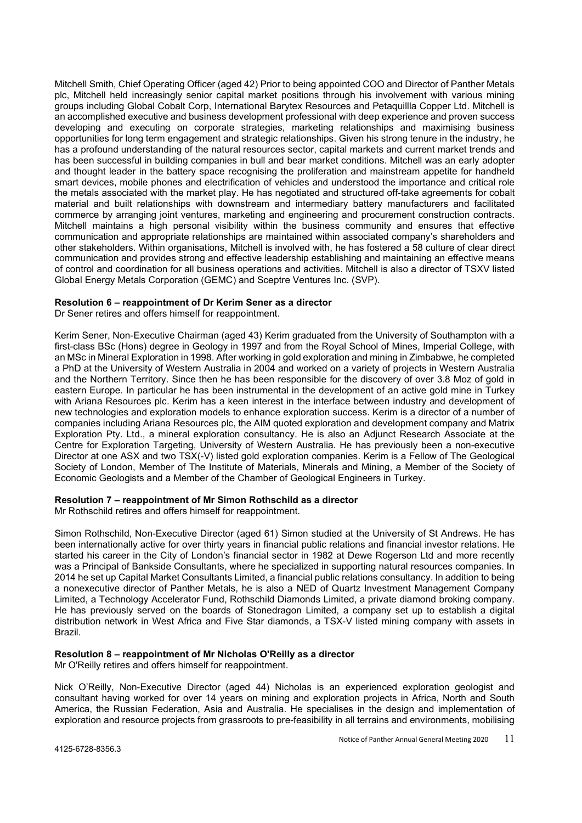Mitchell Smith, Chief Operating Officer (aged 42) Prior to being appointed COO and Director of Panther Metals plc, Mitchell held increasingly senior capital market positions through his involvement with various mining groups including Global Cobalt Corp, International Barytex Resources and Petaquillla Copper Ltd. Mitchell is an accomplished executive and business development professional with deep experience and proven success developing and executing on corporate strategies, marketing relationships and maximising business opportunities for long term engagement and strategic relationships. Given his strong tenure in the industry, he has a profound understanding of the natural resources sector, capital markets and current market trends and has been successful in building companies in bull and bear market conditions. Mitchell was an early adopter and thought leader in the battery space recognising the proliferation and mainstream appetite for handheld smart devices, mobile phones and electrification of vehicles and understood the importance and critical role the metals associated with the market play. He has negotiated and structured off-take agreements for cobalt material and built relationships with downstream and intermediary battery manufacturers and facilitated commerce by arranging joint ventures, marketing and engineering and procurement construction contracts. Mitchell maintains a high personal visibility within the business community and ensures that effective communication and appropriate relationships are maintained within associated company's shareholders and other stakeholders. Within organisations, Mitchell is involved with, he has fostered a 58 culture of clear direct communication and provides strong and effective leadership establishing and maintaining an effective means of control and coordination for all business operations and activities. Mitchell is also a director of TSXV listed Global Energy Metals Corporation (GEMC) and Sceptre Ventures Inc. (SVP).

#### Resolution 6 – reappointment of Dr Kerim Sener as a director

Dr Sener retires and offers himself for reappointment.

Kerim Sener, Non-Executive Chairman (aged 43) Kerim graduated from the University of Southampton with a first-class BSc (Hons) degree in Geology in 1997 and from the Roval School of Mines. Imperial College, with an MSc in Mineral Exploration in 1998. After working in gold exploration and mining in Zimbabwe, he completed a PhD at the University of Western Australia in 2004 and worked on a variety of projects in Western Australia and the Northern Territory. Since then he has been responsible for the discovery of over 3.8 Moz of gold in eastern Europe. In particular he has been instrumental in the development of an active gold mine in Turkey with Ariana Resources plc. Kerim has a keen interest in the interface between industry and development of new technologies and exploration models to enhance exploration success. Kerim is a director of a number of companies including Ariana Resources plc, the AIM quoted exploration and development company and Matrix Exploration Pty. Ltd., a mineral exploration consultancy. He is also an Adjunct Research Associate at the Centre for Exploration Targeting, University of Western Australia. He has previously been a non-executive Director at one ASX and two TSX(-V) listed gold exploration companies. Kerim is a Fellow of The Geological Society of London, Member of The Institute of Materials, Minerals and Mining, a Member of the Society of Economic Geologists and a Member of the Chamber of Geological Engineers in Turkey.

## Resolution 7 – reappointment of Mr Simon Rothschild as a director

Mr Rothschild retires and offers himself for reappointment.

Simon Rothschild, Non-Executive Director (aged 61) Simon studied at the University of St Andrews. He has been internationally active for over thirty years in financial public relations and financial investor relations. He started his career in the City of London's financial sector in 1982 at Dewe Rogerson Ltd and more recently was a Principal of Bankside Consultants, where he specialized in supporting natural resources companies. In 2014 he set up Capital Market Consultants Limited, a financial public relations consultancy. In addition to being a nonexecutive director of Panther Metals, he is also a NED of Quartz Investment Management Company Limited, a Technology Accelerator Fund, Rothschild Diamonds Limited, a private diamond broking company. He has previously served on the boards of Stonedragon Limited, a company set up to establish a digital distribution network in West Africa and Five Star diamonds, a TSX-V listed mining company with assets in Brazil.

# Resolution 8 – reappointment of Mr Nicholas O'Reilly as a director

Mr O'Reilly retires and offers himself for reappointment.

Nick O'Reilly, Non-Executive Director (aged 44) Nicholas is an experienced exploration geologist and consultant having worked for over 14 years on mining and exploration projects in Africa, North and South America, the Russian Federation, Asia and Australia. He specialises in the design and implementation of exploration and resource projects from grassroots to pre-feasibility in all terrains and environments, mobilising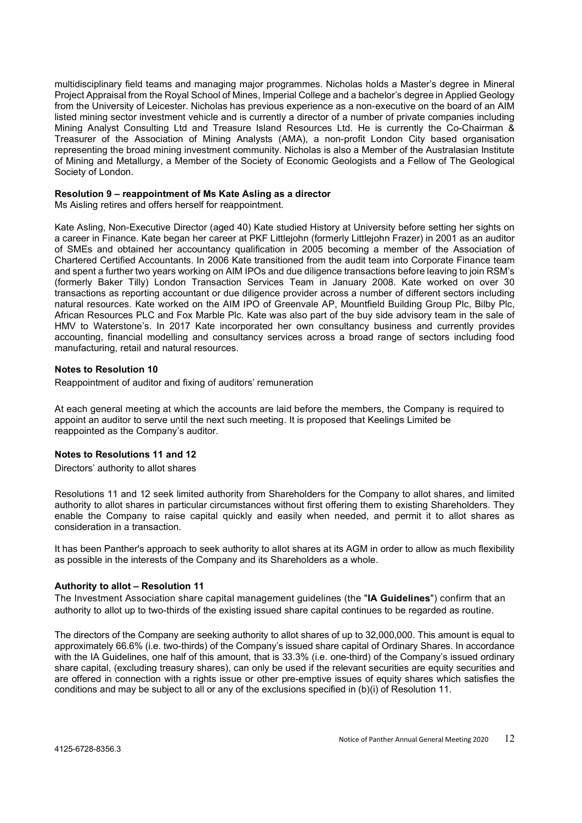multidisciplinary field teams and managing major programmes. Nicholas holds a Master's degree in Mineral Project Appraisal from the Royal School of Mines, Imperial College and a bachelor's degree in Applied Geology from the University of Leicester. Nicholas has previous experience as a non-executive on the board of an AIM listed mining sector investment vehicle and is currently a director of a number of private companies including Mining Analyst Consulting Ltd and Treasure Island Resources Ltd. He is currently the Co-Chairman & Treasurer of the Association of Mining Analysts (AMA), a non-profit London City based organisation representing the broad mining investment community. Nicholas is also a Member of the Australasian Institute of Mining and Metallurgy, a Member of the Society of Economic Geologists and a Fellow of The Geological Society of London.

#### Resolution 9 – reappointment of Ms Kate Asling as a director

Ms Aisling retires and offers herself for reappointment.

Kate Asling, Non-Executive Director (aged 40) Kate studied History at University before setting her sights on a career in Finance. Kate began her career at PKF Littlejohn (formerly Littlejohn Frazer) in 2001 as an auditor of SMEs and obtained her accountancy qualification in 2005 becoming a member of the Association of Chartered Certified Accountants. In 2006 Kate transitioned from the audit team into Corporate Finance team and spent a further two years working on AIM IPOs and due diligence transactions before leaving to join RSM's (formerly Baker Tilly) London Transaction Services Team in January 2008. Kate worked on over 30 transactions as reporting accountant or due diligence provider across a number of different sectors including natural resources. Kate worked on the AIM IPO of Greenvale AP, Mountfield Building Group Plc, Bilby Plc, African Resources PLC and Fox Marble Plc. Kate was also part of the buy side advisory team in the sale of HMV to Waterstone's. In 2017 Kate incorporated her own consultancy business and currently provides accounting, financial modelling and consultancy services across a broad range of sectors including food manufacturing, retail and natural resources.

## Notes to Resolution 10

Reappointment of auditor and fixing of auditors' remuneration

At each general meeting at which the accounts are laid before the members, the Company is required to appoint an auditor to serve until the next such meeting. It is proposed that Keelings Limited be reappointed as the Company's auditor.

## Notes to Resolutions 11 and 12

Directors' authority to allot shares

Resolutions 11 and 12 seek limited authority from Shareholders for the Company to allot shares, and limited authority to allot shares in particular circumstances without first offering them to existing Shareholders. They enable the Company to raise capital quickly and easily when needed, and permit it to allot shares as consideration in a transaction.

It has been Panther's approach to seek authority to allot shares at its AGM in order to allow as much flexibility as possible in the interests of the Company and its Shareholders as a whole.

## Authority to allot – Resolution 11

The Investment Association share capital management guidelines (the "IA Guidelines") confirm that an authority to allot up to two-thirds of the existing issued share capital continues to be regarded as routine.

The directors of the Company are seeking authority to allot shares of up to 32,000,000. This amount is equal to approximately 66.6% (i.e. two-thirds) of the Company's issued share capital of Ordinary Shares. In accordance with the IA Guidelines, one half of this amount, that is 33.3% (i.e. one-third) of the Company's issued ordinary share capital, (excluding treasury shares), can only be used if the relevant securities are equity securities and are offered in connection with a rights issue or other pre-emptive issues of equity shares which satisfies the conditions and may be subject to all or any of the exclusions specified in (b)(i) of Resolution 11.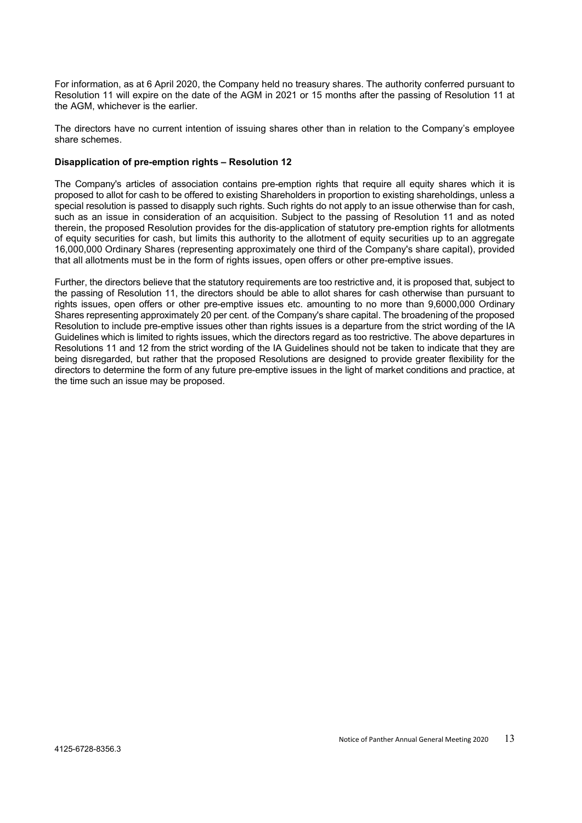For information, as at 6 April 2020, the Company held no treasury shares. The authority conferred pursuant to Resolution 11 will expire on the date of the AGM in 2021 or 15 months after the passing of Resolution 11 at the AGM, whichever is the earlier.

The directors have no current intention of issuing shares other than in relation to the Company's employee share schemes.

## Disapplication of pre-emption rights – Resolution 12

The Company's articles of association contains pre-emption rights that require all equity shares which it is proposed to allot for cash to be offered to existing Shareholders in proportion to existing shareholdings, unless a special resolution is passed to disapply such rights. Such rights do not apply to an issue otherwise than for cash, such as an issue in consideration of an acquisition. Subject to the passing of Resolution 11 and as noted therein, the proposed Resolution provides for the dis-application of statutory pre-emption rights for allotments of equity securities for cash, but limits this authority to the allotment of equity securities up to an aggregate 16,000,000 Ordinary Shares (representing approximately one third of the Company's share capital), provided that all allotments must be in the form of rights issues, open offers or other pre-emptive issues.

Further, the directors believe that the statutory requirements are too restrictive and, it is proposed that, subject to the passing of Resolution 11, the directors should be able to allot shares for cash otherwise than pursuant to rights issues, open offers or other pre-emptive issues etc. amounting to no more than 9,6000,000 Ordinary Shares representing approximately 20 per cent. of the Company's share capital. The broadening of the proposed Resolution to include pre-emptive issues other than rights issues is a departure from the strict wording of the IA Guidelines which is limited to rights issues, which the directors regard as too restrictive. The above departures in Resolutions 11 and 12 from the strict wording of the IA Guidelines should not be taken to indicate that they are being disregarded, but rather that the proposed Resolutions are designed to provide greater flexibility for the directors to determine the form of any future pre-emptive issues in the light of market conditions and practice, at the time such an issue may be proposed.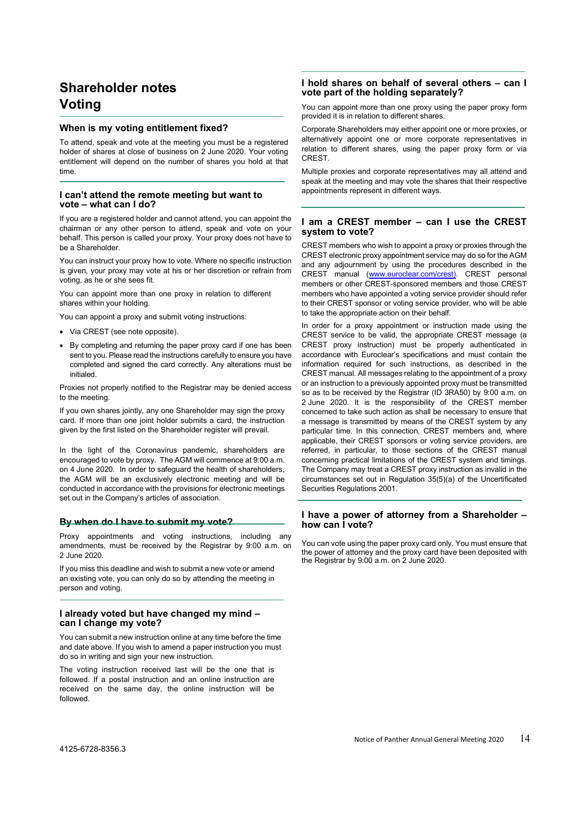# Shareholder notes Voting

#### When is my voting entitlement fixed?

To attend, speak and vote at the meeting you must be a registered holder of shares at close of business on 2 June 2020. Your voting entitlement will depend on the number of shares you hold at that time.

#### I can't attend the remote meeting but want to vote – what can I do?

If you are a registered holder and cannot attend, you can appoint the chairman or any other person to attend, speak and vote on your behalf. This person is called your proxy. Your proxy does not have to be a Shareholder.

You can instruct your proxy how to vote. Where no specific instruction is given, your proxy may vote at his or her discretion or refrain from voting, as he or she sees fit.

You can appoint more than one proxy in relation to different shares within your holding.

You can appoint a proxy and submit voting instructions:

- Via CREST (see note opposite).
- By completing and returning the paper proxy card if one has been sent to you. Please read the instructions carefully to ensure you have completed and signed the card correctly. Any alterations must be initialed.

Proxies not properly notified to the Registrar may be denied access to the meeting.

If you own shares jointly, any one Shareholder may sign the proxy card. If more than one joint holder submits a card, the instruction given by the first listed on the Shareholder register will prevail.

In the light of the Coronavirus pandemic, shareholders are encouraged to vote by proxy. The AGM will commence at 9:00 a.m. on 4 June 2020. In order to safeguard the health of shareholders, the AGM will be an exclusively electronic meeting and will be conducted in accordance with the provisions for electronic meetings set out in the Company's articles of association.

#### By when do I have to submit my vote?

Proxy appointments and voting instructions, including any amendments, must be received by the Registrar by 9:00 a.m. on 2 June 2020.

If you miss this deadline and wish to submit a new vote or amend an existing vote, you can only do so by attending the meeting in person and voting.

#### I already voted but have changed my mind – can I change my vote?

You can submit a new instruction online at any time before the time and date above. If you wish to amend a paper instruction you must do so in writing and sign your new instruction.

The voting instruction received last will be the one that is followed. If a postal instruction and an online instruction are received on the same day, the online instruction will be followed.

#### I hold shares on behalf of several others – can I vote part of the holding separately?

You can appoint more than one proxy using the paper proxy form provided it is in relation to different shares.

Corporate Shareholders may either appoint one or more proxies, or alternatively appoint one or more corporate representatives in relation to different shares, using the paper proxy form or via **CREST** 

Multiple proxies and corporate representatives may all attend and speak at the meeting and may vote the shares that their respective appointments represent in different ways.

#### I am a CREST member – can I use the CREST system to vote?

CREST members who wish to appoint a proxy or proxies through the CREST electronic proxy appointment service may do so for the AGM and any adjournment by using the procedures described in the CREST manual (www.euroclear.com/crest). CREST personal members or other CREST-sponsored members and those CREST members who have appointed a voting service provider should refer to their CREST sponsor or voting service provider, who will be able to take the appropriate action on their behalf.

In order for a proxy appointment or instruction made using the CREST service to be valid, the appropriate CREST message (a CREST proxy instruction) must be properly authenticated in accordance with Euroclear's specifications and must contain the information required for such instructions, as described in the CREST manual. All messages relating to the appointment of a proxy or an instruction to a previously appointed proxy must be transmitted so as to be received by the Registrar (ID 3RA50) by 9:00 a.m. on 2 June 2020. It is the responsibility of the CREST member concerned to take such action as shall be necessary to ensure that a message is transmitted by means of the CREST system by any particular time. In this connection, CREST members and, where applicable, their CREST sponsors or voting service providers, are referred, in particular, to those sections of the CREST manual concerning practical limitations of the CREST system and timings. The Company may treat a CREST proxy instruction as invalid in the circumstances set out in Regulation 35(5)(a) of the Uncertificated Securities Regulations 2001.

#### I have a power of attorney from a Shareholder – how can I vote?

You can vote using the paper proxy card only. You must ensure that the power of attorney and the proxy card have been deposited with the Registrar by 9:00 a.m. on 2 June 2020.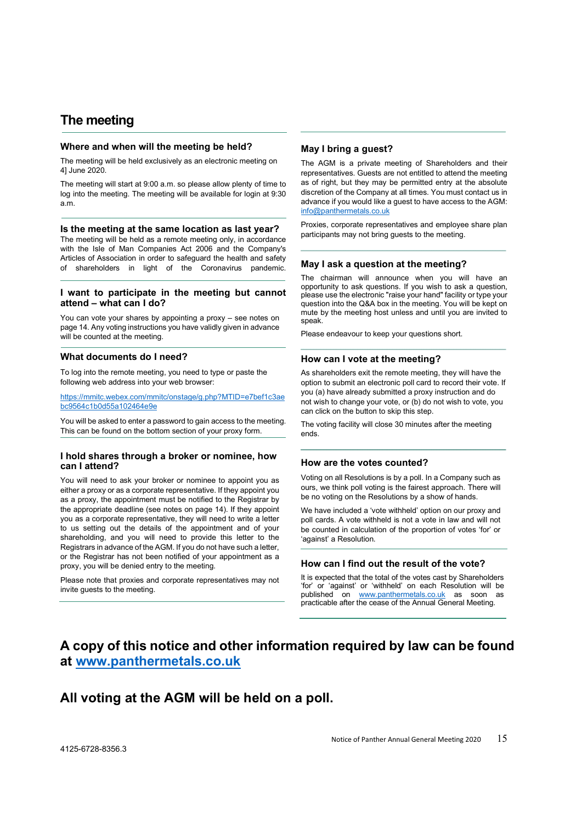# The meeting

#### Where and when will the meeting be held?

The meeting will be held exclusively as an electronic meeting on 4] June 2020.

The meeting will start at 9:00 a.m. so please allow plenty of time to log into the meeting. The meeting will be available for login at 9:30 a.m.

#### Is the meeting at the same location as last year?

The meeting will be held as a remote meeting only, in accordance with the Isle of Man Companies Act 2006 and the Company's Articles of Association in order to safeguard the health and safety of shareholders in light of the Coronavirus pandemic.

#### I want to participate in the meeting but cannot attend – what can I do?

You can vote your shares by appointing a proxy – see notes on page 14. Any voting instructions you have validly given in advance will be counted at the meeting.

#### What documents do I need?

To log into the remote meeting, you need to type or paste the following web address into your web browser:

https://mmitc.webex.com/mmitc/onstage/g.php?MTID=e7bef1c3ae bc9564c1b0d55a102464e9e

You will be asked to enter a password to gain access to the meeting. This can be found on the bottom section of your proxy form.

#### I hold shares through a broker or nominee, how can I attend?

You will need to ask your broker or nominee to appoint you as either a proxy or as a corporate representative. If they appoint you as a proxy, the appointment must be notified to the Registrar by the appropriate deadline (see notes on page 14). If they appoint you as a corporate representative, they will need to write a letter to us setting out the details of the appointment and of your shareholding, and you will need to provide this letter to the Registrars in advance of the AGM. If you do not have such a letter, or the Registrar has not been notified of your appointment as a proxy, you will be denied entry to the meeting.

Please note that proxies and corporate representatives may not invite guests to the meeting.

#### May I bring a guest?

The AGM is a private meeting of Shareholders and their representatives. Guests are not entitled to attend the meeting as of right, but they may be permitted entry at the absolute discretion of the Company at all times. You must contact us in advance if you would like a guest to have access to the AGM: info@panthermetals.co.uk

Proxies, corporate representatives and employee share plan participants may not bring guests to the meeting.

#### May I ask a question at the meeting?

The chairman will announce when you will have an opportunity to ask questions. If you wish to ask a question, please use the electronic "raise your hand" facility or type your question into the Q&A box in the meeting. You will be kept on mute by the meeting host unless and until you are invited to speak.

Please endeavour to keep your questions short.

#### How can I vote at the meeting?

As shareholders exit the remote meeting, they will have the option to submit an electronic poll card to record their vote. If you (a) have already submitted a proxy instruction and do not wish to change your vote, or (b) do not wish to vote, you can click on the button to skip this step.

The voting facility will close 30 minutes after the meeting ends.

#### How are the votes counted?

Voting on all Resolutions is by a poll. In a Company such as ours, we think poll voting is the fairest approach. There will be no voting on the Resolutions by a show of hands.

We have included a 'vote withheld' option on our proxy and poll cards. A vote withheld is not a vote in law and will not be counted in calculation of the proportion of votes 'for' or 'against' a Resolution.

#### How can I find out the result of the vote?

It is expected that the total of the votes cast by Shareholders 'for' or 'against' or 'withheld' on each Resolution will be published on www.panthermetals.co.uk as soon as practicable after the cease of the Annual General Meeting.

# A copy of this notice and other information required by law can be found at www.panthermetals.co.uk

# All voting at the AGM will be held on a poll.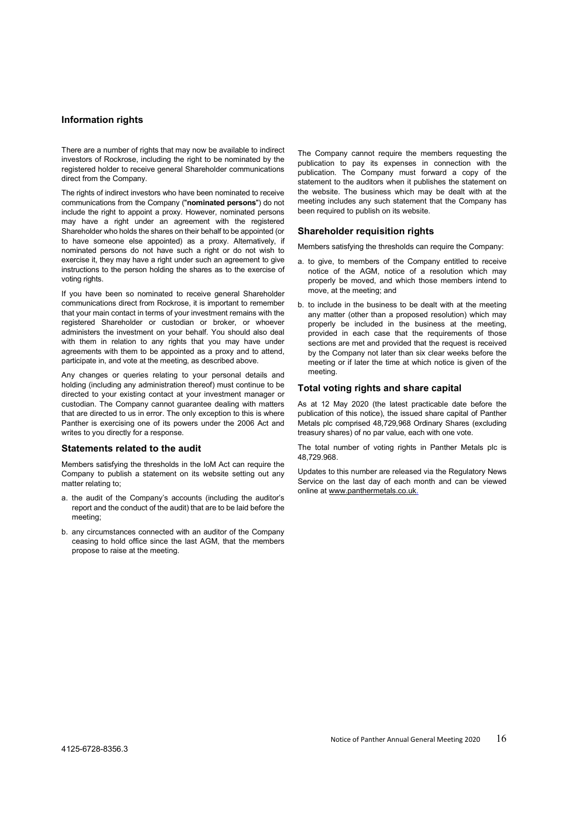#### Information rights

There are a number of rights that may now be available to indirect investors of Rockrose, including the right to be nominated by the registered holder to receive general Shareholder communications direct from the Company.

The rights of indirect investors who have been nominated to receive communications from the Company ("nominated persons") do not include the right to appoint a proxy. However, nominated persons may have a right under an agreement with the registered Shareholder who holds the shares on their behalf to be appointed (or to have someone else appointed) as a proxy. Alternatively, if nominated persons do not have such a right or do not wish to exercise it, they may have a right under such an agreement to give instructions to the person holding the shares as to the exercise of voting rights.

If you have been so nominated to receive general Shareholder communications direct from Rockrose, it is important to remember that your main contact in terms of your investment remains with the registered Shareholder or custodian or broker, or whoever administers the investment on your behalf. You should also deal with them in relation to any rights that you may have under agreements with them to be appointed as a proxy and to attend, participate in, and vote at the meeting, as described above.

Any changes or queries relating to your personal details and holding (including any administration thereof) must continue to be directed to your existing contact at your investment manager or custodian. The Company cannot guarantee dealing with matters that are directed to us in error. The only exception to this is where Panther is exercising one of its powers under the 2006 Act and writes to you directly for a response.

#### Statements related to the audit

Members satisfying the thresholds in the IoM Act can require the Company to publish a statement on its website setting out any matter relating to;

- a. the audit of the Company's accounts (including the auditor's report and the conduct of the audit) that are to be laid before the meeting;
- b. any circumstances connected with an auditor of the Company ceasing to hold office since the last AGM, that the members propose to raise at the meeting.

The Company cannot require the members requesting the publication to pay its expenses in connection with the publication. The Company must forward a copy of the statement to the auditors when it publishes the statement on the website. The business which may be dealt with at the meeting includes any such statement that the Company has been required to publish on its website.

#### Shareholder requisition rights

Members satisfying the thresholds can require the Company:

- a. to give, to members of the Company entitled to receive notice of the AGM, notice of a resolution which may properly be moved, and which those members intend to move, at the meeting; and
- b. to include in the business to be dealt with at the meeting any matter (other than a proposed resolution) which may properly be included in the business at the meeting, provided in each case that the requirements of those sections are met and provided that the request is received by the Company not later than six clear weeks before the meeting or if later the time at which notice is given of the meeting.

#### Total voting rights and share capital

As at 12 May 2020 (the latest practicable date before the publication of this notice), the issued share capital of Panther Metals plc comprised 48,729,968 Ordinary Shares (excluding treasury shares) of no par value, each with one vote.

The total number of voting rights in Panther Metals plc is 48,729.968.

Updates to this number are released via the Regulatory News Service on the last day of each month and can be viewed online at www.panthermetals.co.uk.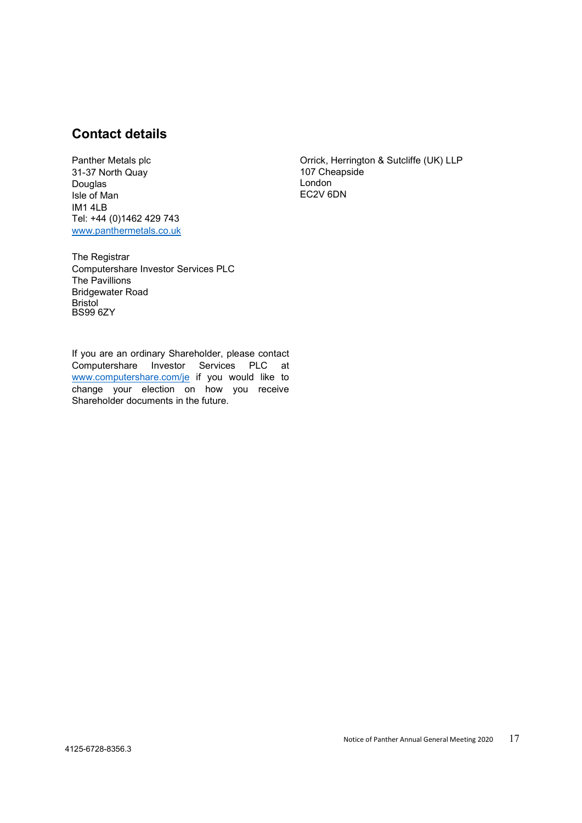# Contact details

Panther Metals plc 31-37 North Quay Douglas Isle of Man IM1 4LB Tel: +44 (0)1462 429 743 www.panthermetals.co.uk

Orrick, Herrington & Sutcliffe (UK) LLP 107 Cheapside London EC2V 6DN

The Registrar Computershare Investor Services PLC The Pavillions Bridgewater Road Bristol BS99 6ZY

If you are an ordinary Shareholder, please contact Computershare Investor Services PLC at www.computershare.com/je if you would like to change your election on how you receive Shareholder documents in the future.